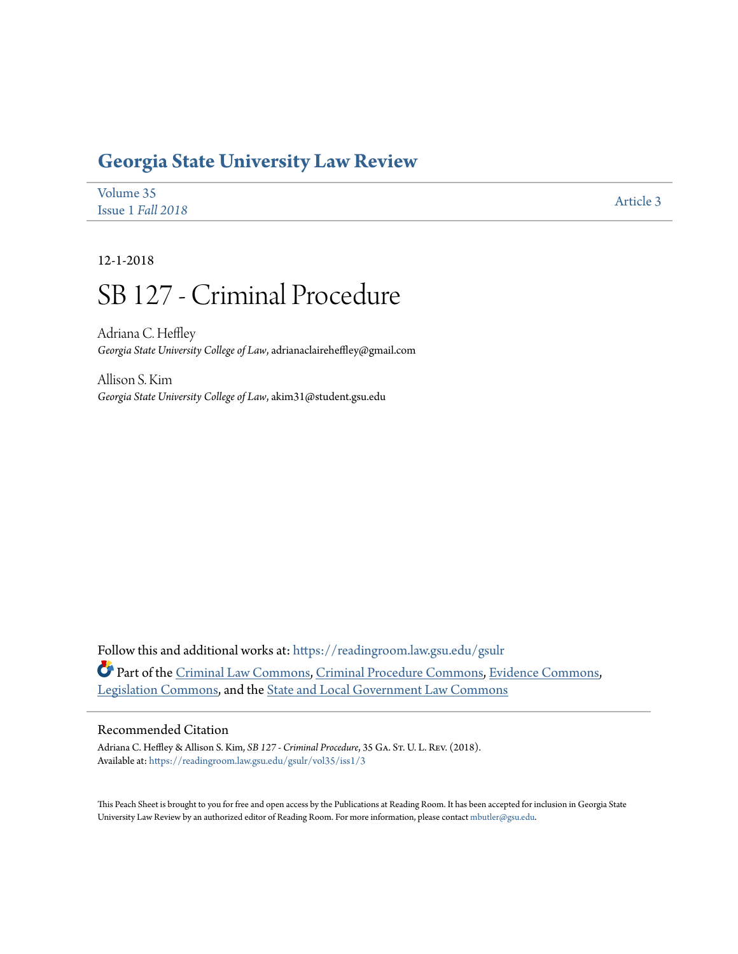# **[Georgia State University Law Review](https://readingroom.law.gsu.edu/gsulr?utm_source=readingroom.law.gsu.edu%2Fgsulr%2Fvol35%2Fiss1%2F3&utm_medium=PDF&utm_campaign=PDFCoverPages)**

| Volume 35         |           |
|-------------------|-----------|
| Issue 1 Fall 2018 | Article 3 |

12-1-2018

# SB 127 - Criminal Procedure

Adriana C. Heffley *Georgia State University College of Law*, adrianaclaireheffley@gmail.com

Allison S. Kim *Georgia State University College of Law*, akim31@student.gsu.edu

Follow this and additional works at: [https://readingroom.law.gsu.edu/gsulr](https://readingroom.law.gsu.edu/gsulr?utm_source=readingroom.law.gsu.edu%2Fgsulr%2Fvol35%2Fiss1%2F3&utm_medium=PDF&utm_campaign=PDFCoverPages) Part of the [Criminal Law Commons](http://network.bepress.com/hgg/discipline/912?utm_source=readingroom.law.gsu.edu%2Fgsulr%2Fvol35%2Fiss1%2F3&utm_medium=PDF&utm_campaign=PDFCoverPages), [Criminal Procedure Commons](http://network.bepress.com/hgg/discipline/1073?utm_source=readingroom.law.gsu.edu%2Fgsulr%2Fvol35%2Fiss1%2F3&utm_medium=PDF&utm_campaign=PDFCoverPages), [Evidence Commons](http://network.bepress.com/hgg/discipline/601?utm_source=readingroom.law.gsu.edu%2Fgsulr%2Fvol35%2Fiss1%2F3&utm_medium=PDF&utm_campaign=PDFCoverPages), [Legislation Commons](http://network.bepress.com/hgg/discipline/859?utm_source=readingroom.law.gsu.edu%2Fgsulr%2Fvol35%2Fiss1%2F3&utm_medium=PDF&utm_campaign=PDFCoverPages), and the [State and Local Government Law Commons](http://network.bepress.com/hgg/discipline/879?utm_source=readingroom.law.gsu.edu%2Fgsulr%2Fvol35%2Fiss1%2F3&utm_medium=PDF&utm_campaign=PDFCoverPages)

# Recommended Citation

Adriana C. Heffley & Allison S. Kim, *SB 127 - Criminal Procedure*, 35 GA. St. U. L. REV. (2018). Available at: [https://readingroom.law.gsu.edu/gsulr/vol35/iss1/3](https://readingroom.law.gsu.edu/gsulr/vol35/iss1/3?utm_source=readingroom.law.gsu.edu%2Fgsulr%2Fvol35%2Fiss1%2F3&utm_medium=PDF&utm_campaign=PDFCoverPages)

This Peach Sheet is brought to you for free and open access by the Publications at Reading Room. It has been accepted for inclusion in Georgia State University Law Review by an authorized editor of Reading Room. For more information, please contact [mbutler@gsu.edu.](mailto:mbutler@gsu.edu)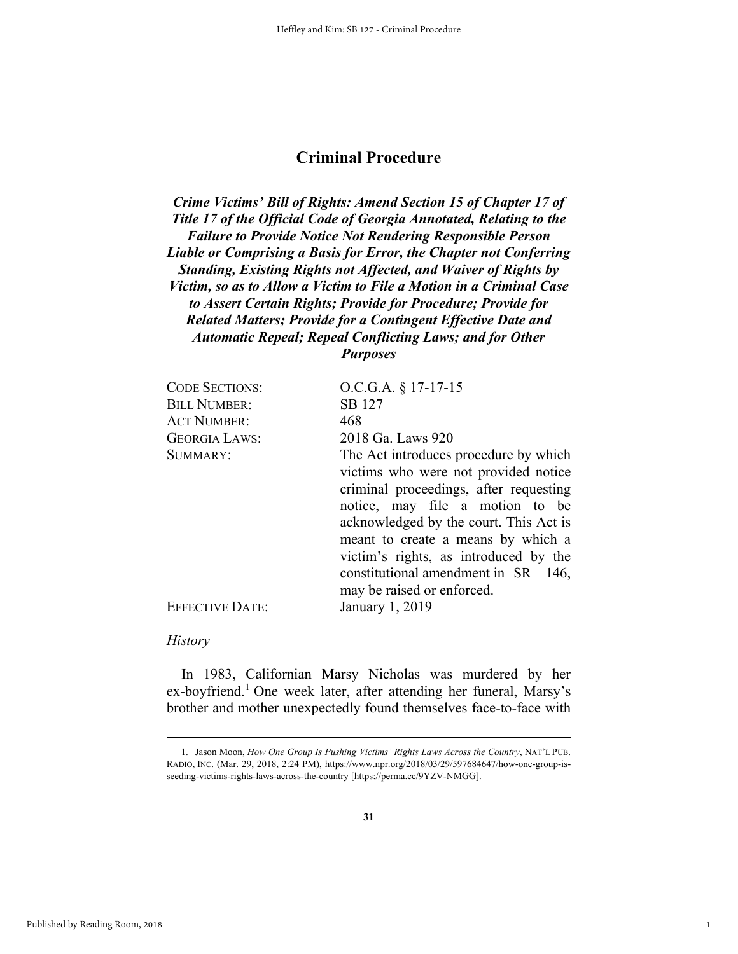# **Criminal Procedure**

*Crime Victims' Bill of Rights: Amend Section 15 of Chapter 17 of Title 17 of the Official Code of Georgia Annotated, Relating to the Failure to Provide Notice Not Rendering Responsible Person Liable or Comprising a Basis for Error, the Chapter not Conferring Standing, Existing Rights not Affected, and Waiver of Rights by Victim, so as to Allow a Victim to File a Motion in a Criminal Case to Assert Certain Rights; Provide for Procedure; Provide for Related Matters; Provide for a Contingent Effective Date and Automatic Repeal; Repeal Conflicting Laws; and for Other Purposes* 

| <b>CODE SECTIONS:</b>  | $O.C.G.A. § 17-17-15$                  |
|------------------------|----------------------------------------|
| <b>BILL NUMBER:</b>    | SB 127                                 |
| <b>ACT NUMBER:</b>     | 468                                    |
| <b>GEORGIA LAWS:</b>   | 2018 Ga. Laws 920                      |
| SUMMARY:               | The Act introduces procedure by which  |
|                        | victims who were not provided notice   |
|                        | criminal proceedings, after requesting |
|                        | notice, may file a motion to be        |
|                        | acknowledged by the court. This Act is |
|                        | meant to create a means by which a     |
|                        | victim's rights, as introduced by the  |
|                        | constitutional amendment in SR 146,    |
|                        | may be raised or enforced.             |
| <b>EFFECTIVE DATE:</b> | January 1, 2019                        |

#### *History*

In 1983, Californian Marsy Nicholas was murdered by her ex-boyfriend.<sup>1</sup> One week later, after attending her funeral, Marsy's brother and mother unexpectedly found themselves face-to-face with

1

 <sup>1.</sup> Jason Moon, *How One Group Is Pushing Victims' Rights Laws Across the Country*, NAT'L PUB. RADIO, INC. (Mar. 29, 2018, 2:24 PM), https://www.npr.org/2018/03/29/597684647/how-one-group-isseeding-victims-rights-laws-across-the-country [https://perma.cc/9YZV-NMGG].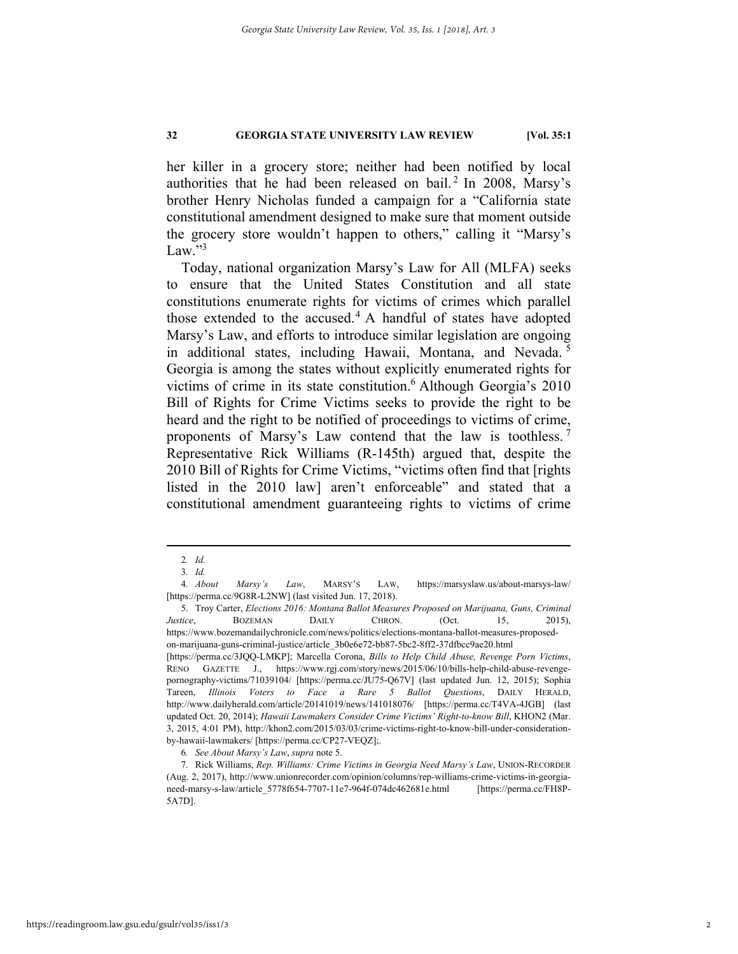her killer in a grocery store; neither had been notified by local authorities that he had been released on bail.<sup>2</sup> In 2008, Marsy's brother Henry Nicholas funded a campaign for a "California state constitutional amendment designed to make sure that moment outside the grocery store wouldn't happen to others," calling it "Marsy's Law." $3$ 

Today, national organization Marsy's Law for All (MLFA) seeks to ensure that the United States Constitution and all state constitutions enumerate rights for victims of crimes which parallel those extended to the accused.<sup>4</sup> A handful of states have adopted Marsy's Law, and efforts to introduce similar legislation are ongoing in additional states, including Hawaii, Montana, and Nevada. <sup>5</sup> Georgia is among the states without explicitly enumerated rights for victims of crime in its state constitution.<sup>6</sup> Although Georgia's 2010 Bill of Rights for Crime Victims seeks to provide the right to be heard and the right to be notified of proceedings to victims of crime, proponents of Marsy's Law contend that the law is toothless. <sup>7</sup> Representative Rick Williams (R-145th) argued that, despite the 2010 Bill of Rights for Crime Victims, "victims often find that [rights listed in the 2010 law] aren't enforceable" and stated that a constitutional amendment guaranteeing rights to victims of crime

 <sup>2</sup>*. Id.*

<sup>3</sup>*. Id.*

<sup>4</sup>*. About Marsy's Law*, MARSY'S LAW, https://marsyslaw.us/about-marsys-law/ [https://perma.cc/9G8R-L2NW] (last visited Jun. 17, 2018).

 <sup>5.</sup> Troy Carter, *Elections 2016: Montana Ballot Measures Proposed on Marijuana, Guns, Criminal Justice*, BOZEMAN DAILY CHRON. (Oct. 15, 2015), https://www.bozemandailychronicle.com/news/politics/elections-montana-ballot-measures-proposedon-marijuana-guns-criminal-justice/article\_3b0e6e72-bb87-5bc2-8ff2-37dfbcc9ae20.html

<sup>[</sup>https://perma.cc/3JQQ-LMKP]; Marcella Corona, *Bills to Help Child Abuse, Revenge Porn Victims*, RENO GAZETTE J., https://www.rgj.com/story/news/2015/06/10/bills-help-child-abuse-revengepornography-victims/71039104/ [https://perma.cc/JU75-Q67V] (last updated Jun. 12, 2015); Sophia Tareen, *Illinois Voters to Face a Rare 5 Ballot Questions*, DAILY HERALD, http://www.dailyherald.com/article/20141019/news/141018076/ [https://perma.cc/T4VA-4JGB] (last updated Oct. 20, 2014); *Hawaii Lawmakers Consider Crime Victims' Right-to-know Bill*, KHON2 (Mar. 3, 2015, 4:01 PM), http://khon2.com/2015/03/03/crime-victims-right-to-know-bill-under-considerationby-hawaii-lawmakers/ [https://perma.cc/CP27-VEQZ];.

<sup>6</sup>*. See About Marsy's Law*, *supra* note 5.

 <sup>7.</sup> Rick Williams, *Rep. Williams: Crime Victims in Georgia Need Marsy's Law*, UNION-RECORDER (Aug. 2, 2017), http://www.unionrecorder.com/opinion/columns/rep-williams-crime-victims-in-georgianeed-marsy-s-law/article\_5778f654-7707-11e7-964f-074dc462681e.html [https://perma.cc/FH8P-5A7D].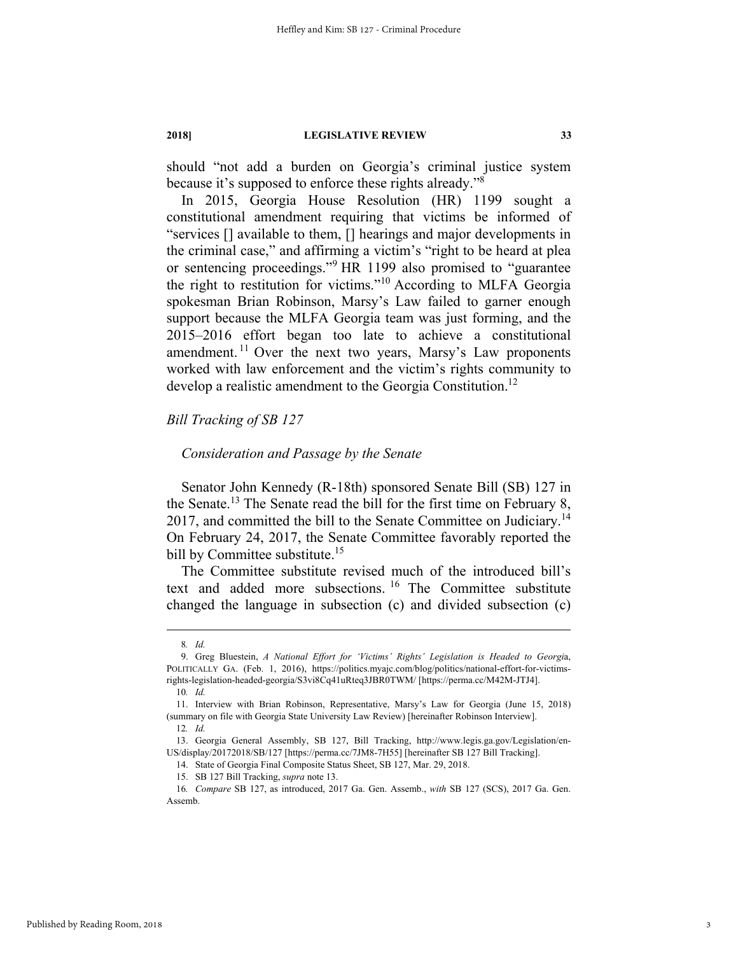should "not add a burden on Georgia's criminal justice system because it's supposed to enforce these rights already."8

In 2015, Georgia House Resolution (HR) 1199 sought a constitutional amendment requiring that victims be informed of "services [] available to them, [] hearings and major developments in the criminal case," and affirming a victim's "right to be heard at plea or sentencing proceedings."<sup>9</sup> HR 1199 also promised to "guarantee the right to restitution for victims."10 According to MLFA Georgia spokesman Brian Robinson, Marsy's Law failed to garner enough support because the MLFA Georgia team was just forming, and the 2015–2016 effort began too late to achieve a constitutional amendment.<sup>11</sup> Over the next two years, Marsy's Law proponents worked with law enforcement and the victim's rights community to develop a realistic amendment to the Georgia Constitution.<sup>12</sup>

## *Bill Tracking of SB 127*

# *Consideration and Passage by the Senate*

Senator John Kennedy (R-18th) sponsored Senate Bill (SB) 127 in the Senate.<sup>13</sup> The Senate read the bill for the first time on February 8, 2017, and committed the bill to the Senate Committee on Judiciary.<sup>14</sup> On February 24, 2017, the Senate Committee favorably reported the bill by Committee substitute.<sup>15</sup>

The Committee substitute revised much of the introduced bill's text and added more subsections. 16 The Committee substitute changed the language in subsection (c) and divided subsection (c)

 <sup>8</sup>*. Id.*

 <sup>9.</sup> Greg Bluestein, *A National Effort for 'Victims' Rights' Legislation is Headed to Georgi*a, POLITICALLY GA. (Feb. 1, 2016), https://politics.myajc.com/blog/politics/national-effort-for-victimsrights-legislation-headed-georgia/S3vi8Cq41uRteq3JBR0TWM/ [https://perma.cc/M42M-JTJ4].

<sup>10</sup>*. Id.*

 <sup>11.</sup> Interview with Brian Robinson, Representative, Marsy's Law for Georgia (June 15, 2018) (summary on file with Georgia State University Law Review) [hereinafter Robinson Interview]. 12*. Id.*

 <sup>13.</sup> Georgia General Assembly, SB 127, Bill Tracking, http://www.legis.ga.gov/Legislation/en-US/display/20172018/SB/127 [https://perma.cc/7JM8-7H55] [hereinafter SB 127 Bill Tracking].

 <sup>14.</sup> State of Georgia Final Composite Status Sheet, SB 127, Mar. 29, 2018.

 <sup>15.</sup> SB 127 Bill Tracking, *supra* note 13.

<sup>16</sup>*. Compare* SB 127, as introduced, 2017 Ga. Gen. Assemb., *with* SB 127 (SCS), 2017 Ga. Gen. Assemb.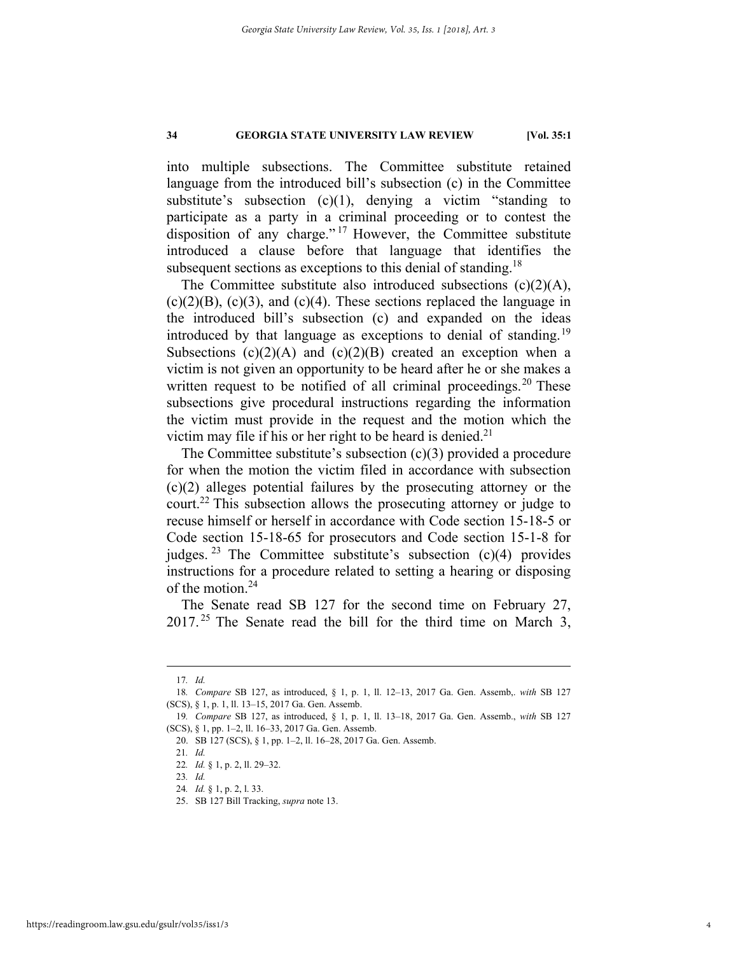into multiple subsections. The Committee substitute retained language from the introduced bill's subsection (c) in the Committee substitute's subsection  $(c)(1)$ , denying a victim "standing to participate as a party in a criminal proceeding or to contest the disposition of any charge."<sup>17</sup> However, the Committee substitute introduced a clause before that language that identifies the subsequent sections as exceptions to this denial of standing.<sup>18</sup>

The Committee substitute also introduced subsections (c)(2)(A),  $(c)(2)(B)$ ,  $(c)(3)$ , and  $(c)(4)$ . These sections replaced the language in the introduced bill's subsection (c) and expanded on the ideas introduced by that language as exceptions to denial of standing.<sup>19</sup> Subsections  $(c)(2)(A)$  and  $(c)(2)(B)$  created an exception when a victim is not given an opportunity to be heard after he or she makes a written request to be notified of all criminal proceedings.<sup>20</sup> These subsections give procedural instructions regarding the information the victim must provide in the request and the motion which the victim may file if his or her right to be heard is denied.<sup>21</sup>

The Committee substitute's subsection (c)(3) provided a procedure for when the motion the victim filed in accordance with subsection (c)(2) alleges potential failures by the prosecuting attorney or the court.22 This subsection allows the prosecuting attorney or judge to recuse himself or herself in accordance with Code section 15-18-5 or Code section 15-18-65 for prosecutors and Code section 15-1-8 for judges. <sup>23</sup> The Committee substitute's subsection  $(c)(4)$  provides instructions for a procedure related to setting a hearing or disposing of the motion.<sup>24</sup>

The Senate read SB 127 for the second time on February 27,  $2017<sup>25</sup>$  The Senate read the bill for the third time on March 3,

 <sup>17</sup>*. Id.*

<sup>18</sup>*. Compare* SB 127, as introduced, § 1, p. 1, ll. 12–13, 2017 Ga. Gen. Assemb,. *with* SB 127 (SCS), § 1, p. 1, ll. 13–15, 2017 Ga. Gen. Assemb.

<sup>19</sup>*. Compare* SB 127, as introduced, § 1, p. 1, ll. 13–18, 2017 Ga. Gen. Assemb., *with* SB 127 (SCS), § 1, pp. 1–2, ll. 16–33, 2017 Ga. Gen. Assemb.

 <sup>20.</sup> SB 127 (SCS), § 1, pp. 1–2, ll. 16–28, 2017 Ga. Gen. Assemb.

<sup>21</sup>*. Id.*  22*. Id.* § 1, p. 2, ll. 29–32.

<sup>23</sup>*. Id.* 

<sup>24</sup>*. Id.* § 1, p. 2, l. 33.

 <sup>25.</sup> SB 127 Bill Tracking, *supra* note 13.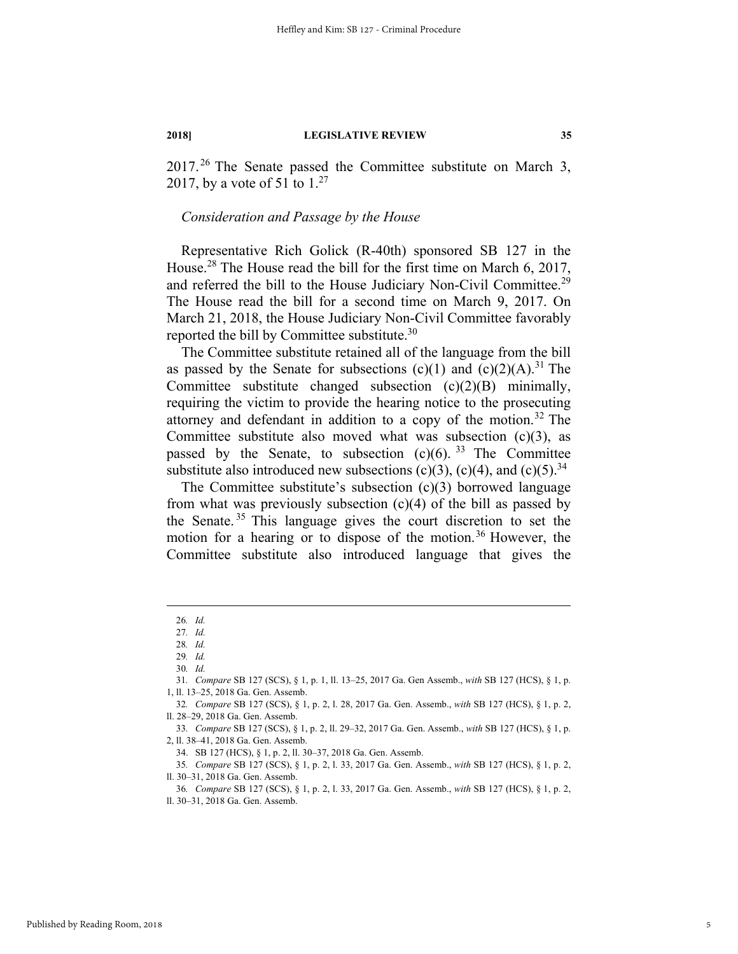$2017<sup>26</sup>$  The Senate passed the Committee substitute on March 3, 2017, by a vote of 51 to  $1.^{27}$ 

# *Consideration and Passage by the House*

Representative Rich Golick (R-40th) sponsored SB 127 in the House.28 The House read the bill for the first time on March 6, 2017, and referred the bill to the House Judiciary Non-Civil Committee.<sup>29</sup> The House read the bill for a second time on March 9, 2017. On March 21, 2018, the House Judiciary Non-Civil Committee favorably reported the bill by Committee substitute.<sup>30</sup>

The Committee substitute retained all of the language from the bill as passed by the Senate for subsections (c)(1) and (c)(2)(A).<sup>31</sup> The Committee substitute changed subsection (c)(2)(B) minimally, requiring the victim to provide the hearing notice to the prosecuting attorney and defendant in addition to a copy of the motion.<sup>32</sup> The Committee substitute also moved what was subsection (c)(3), as passed by the Senate, to subsection  $(c)(6)$ . <sup>33</sup> The Committee substitute also introduced new subsections (c)(3), (c)(4), and (c)(5).<sup>34</sup>

The Committee substitute's subsection (c)(3) borrowed language from what was previously subsection (c)(4) of the bill as passed by the Senate. 35 This language gives the court discretion to set the motion for a hearing or to dispose of the motion.<sup>36</sup> However, the Committee substitute also introduced language that gives the

34. SB 127 (HCS), § 1, p. 2, ll. 30–37, 2018 Ga. Gen. Assemb.

 <sup>26</sup>*. Id.* 

<sup>27</sup>*. Id.* 

<sup>28</sup>*. Id.*

<sup>29</sup>*. Id.* 

<sup>30</sup>*. Id.* 

<sup>31</sup>*. Compare* SB 127 (SCS), § 1, p. 1, ll. 13–25, 2017 Ga. Gen Assemb., *with* SB 127 (HCS), § 1, p. 1, ll. 13–25, 2018 Ga. Gen. Assemb.

<sup>32</sup>*. Compare* SB 127 (SCS), § 1, p. 2, l. 28, 2017 Ga. Gen. Assemb., *with* SB 127 (HCS), § 1, p. 2, ll. 28–29, 2018 Ga. Gen. Assemb.

<sup>33</sup>*. Compare* SB 127 (SCS), § 1, p. 2, ll. 29–32, 2017 Ga. Gen. Assemb., *with* SB 127 (HCS), § 1, p. 2, ll. 38–41, 2018 Ga. Gen. Assemb.

<sup>35</sup>*. Compare* SB 127 (SCS), § 1, p. 2, l. 33, 2017 Ga. Gen. Assemb., *with* SB 127 (HCS), § 1, p. 2, ll. 30–31, 2018 Ga. Gen. Assemb.

<sup>36</sup>*. Compare* SB 127 (SCS), § 1, p. 2, l. 33, 2017 Ga. Gen. Assemb., *with* SB 127 (HCS), § 1, p. 2, ll. 30–31, 2018 Ga. Gen. Assemb.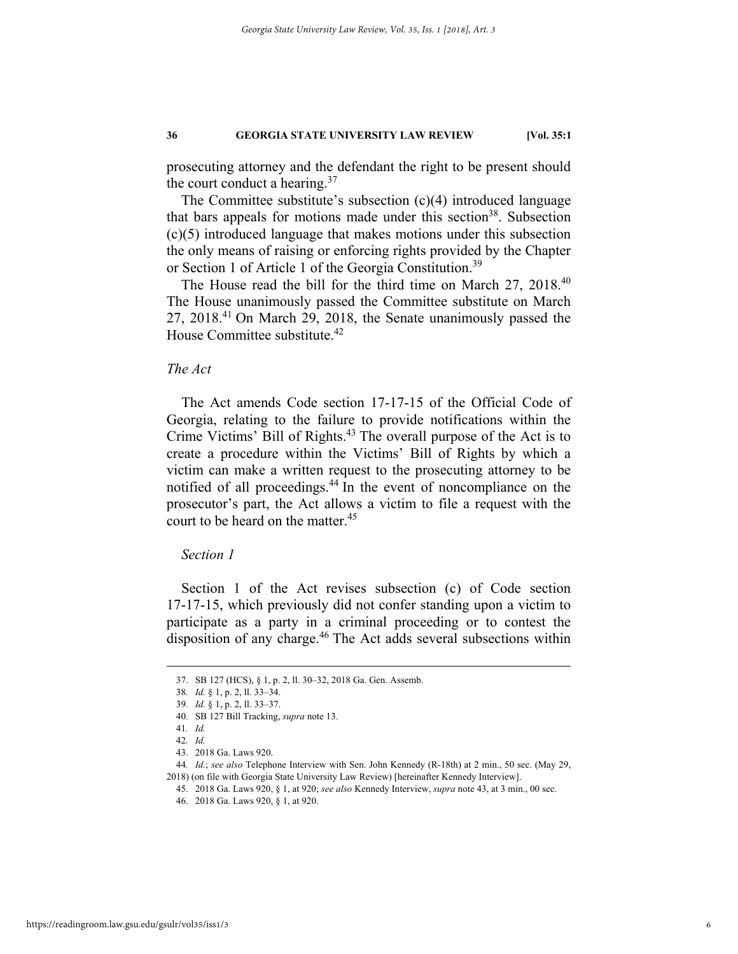prosecuting attorney and the defendant the right to be present should the court conduct a hearing. $37$ 

The Committee substitute's subsection (c)(4) introduced language that bars appeals for motions made under this section<sup>38</sup>. Subsection (c)(5) introduced language that makes motions under this subsection the only means of raising or enforcing rights provided by the Chapter or Section 1 of Article 1 of the Georgia Constitution.<sup>39</sup>

The House read the bill for the third time on March 27, 2018.<sup>40</sup> The House unanimously passed the Committee substitute on March 27, 2018.41 On March 29, 2018, the Senate unanimously passed the House Committee substitute.<sup>42</sup>

#### *The Act*

The Act amends Code section 17-17-15 of the Official Code of Georgia, relating to the failure to provide notifications within the Crime Victims' Bill of Rights.<sup>43</sup> The overall purpose of the Act is to create a procedure within the Victims' Bill of Rights by which a victim can make a written request to the prosecuting attorney to be notified of all proceedings.<sup>44</sup> In the event of noncompliance on the prosecutor's part, the Act allows a victim to file a request with the court to be heard on the matter.<sup>45</sup>

#### *Section 1*

Section 1 of the Act revises subsection (c) of Code section 17-17-15, which previously did not confer standing upon a victim to participate as a party in a criminal proceeding or to contest the disposition of any charge.<sup>46</sup> The Act adds several subsections within

 <sup>37.</sup> SB 127 (HCS), § 1, p. 2, ll. 30–32, 2018 Ga. Gen. Assemb.

<sup>38</sup>*. Id.* § 1, p. 2, ll. 33–34.

<sup>39</sup>*. Id.* § 1, p. 2, ll. 33–37.

 <sup>40.</sup> SB 127 Bill Tracking, *supra* note 13.

<sup>41</sup>*. Id.* 

<sup>42</sup>*. Id.* 

 <sup>43. 2018</sup> Ga. Laws 920.

<sup>44</sup>*. Id.*; *see also* Telephone Interview with Sen. John Kennedy (R-18th) at 2 min., 50 sec. (May 29, 2018) (on file with Georgia State University Law Review) [hereinafter Kennedy Interview].

 <sup>45. 2018</sup> Ga. Laws 920, § 1, at 920; *see also* Kennedy Interview, *supra* note 43, at 3 min., 00 sec.

 <sup>46. 2018</sup> Ga. Laws 920, § 1, at 920.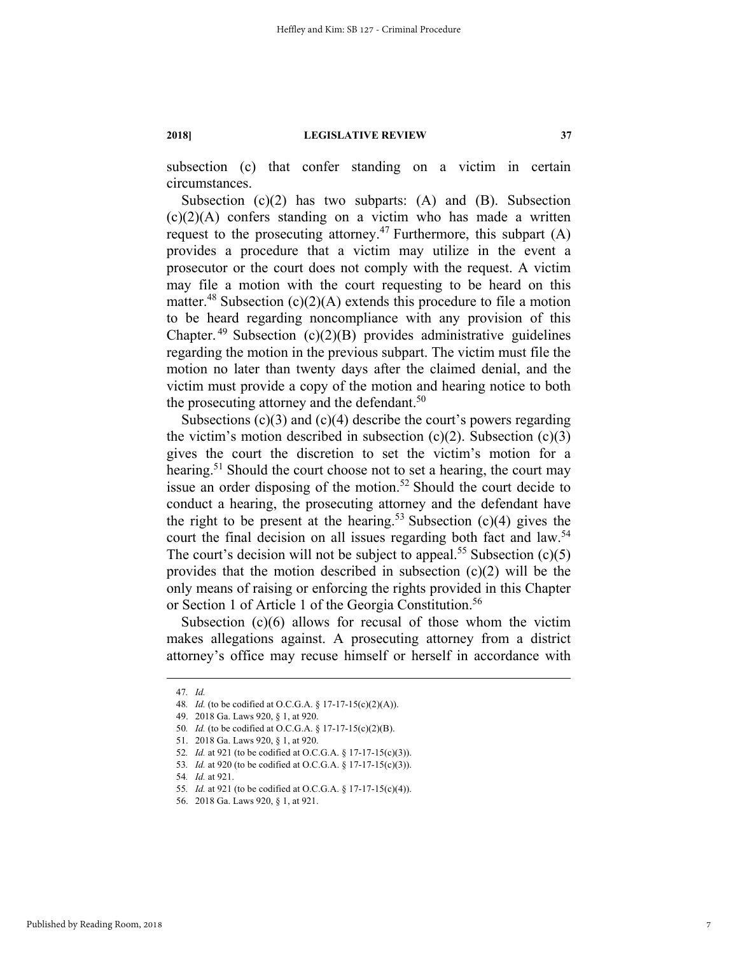subsection (c) that confer standing on a victim in certain circumstances.

Subsection  $(c)(2)$  has two subparts:  $(A)$  and  $(B)$ . Subsection  $(c)(2)(A)$  confers standing on a victim who has made a written request to the prosecuting attorney.<sup>47</sup> Furthermore, this subpart  $(A)$ provides a procedure that a victim may utilize in the event a prosecutor or the court does not comply with the request. A victim may file a motion with the court requesting to be heard on this matter.<sup>48</sup> Subsection (c)(2)(A) extends this procedure to file a motion to be heard regarding noncompliance with any provision of this Chapter.<sup>49</sup> Subsection (c)(2)(B) provides administrative guidelines regarding the motion in the previous subpart. The victim must file the motion no later than twenty days after the claimed denial, and the victim must provide a copy of the motion and hearing notice to both the prosecuting attorney and the defendant.<sup>50</sup>

Subsections  $(c)(3)$  and  $(c)(4)$  describe the court's powers regarding the victim's motion described in subsection  $(c)(2)$ . Subsection  $(c)(3)$ gives the court the discretion to set the victim's motion for a hearing.<sup>51</sup> Should the court choose not to set a hearing, the court may issue an order disposing of the motion.52 Should the court decide to conduct a hearing, the prosecuting attorney and the defendant have the right to be present at the hearing.<sup>53</sup> Subsection (c)(4) gives the court the final decision on all issues regarding both fact and law.<sup>54</sup> The court's decision will not be subject to appeal.<sup>55</sup> Subsection  $(c)(5)$ provides that the motion described in subsection (c)(2) will be the only means of raising or enforcing the rights provided in this Chapter or Section 1 of Article 1 of the Georgia Constitution.<sup>56</sup>

Subsection (c)(6) allows for recusal of those whom the victim makes allegations against. A prosecuting attorney from a district attorney's office may recuse himself or herself in accordance with

 <sup>47</sup>*. Id.*

<sup>48</sup>*. Id.* (to be codified at O.C.G.A. § 17-17-15(c)(2)(A)).

 <sup>49. 2018</sup> Ga. Laws 920, § 1, at 920.

<sup>50</sup>*. Id.* (to be codified at O.C.G.A. § 17-17-15(c)(2)(B).

 <sup>51. 2018</sup> Ga. Laws 920, § 1, at 920.

<sup>52</sup>*. Id.* at 921 (to be codified at O.C.G.A. § 17-17-15(c)(3)).

<sup>53</sup>*. Id.* at 920 (to be codified at O.C.G.A. § 17-17-15(c)(3)).

<sup>54</sup>*. Id.* at 921.

<sup>55</sup>*. Id.* at 921 (to be codified at O.C.G.A. § 17-17-15(c)(4)).

 <sup>56. 2018</sup> Ga. Laws 920, § 1, at 921.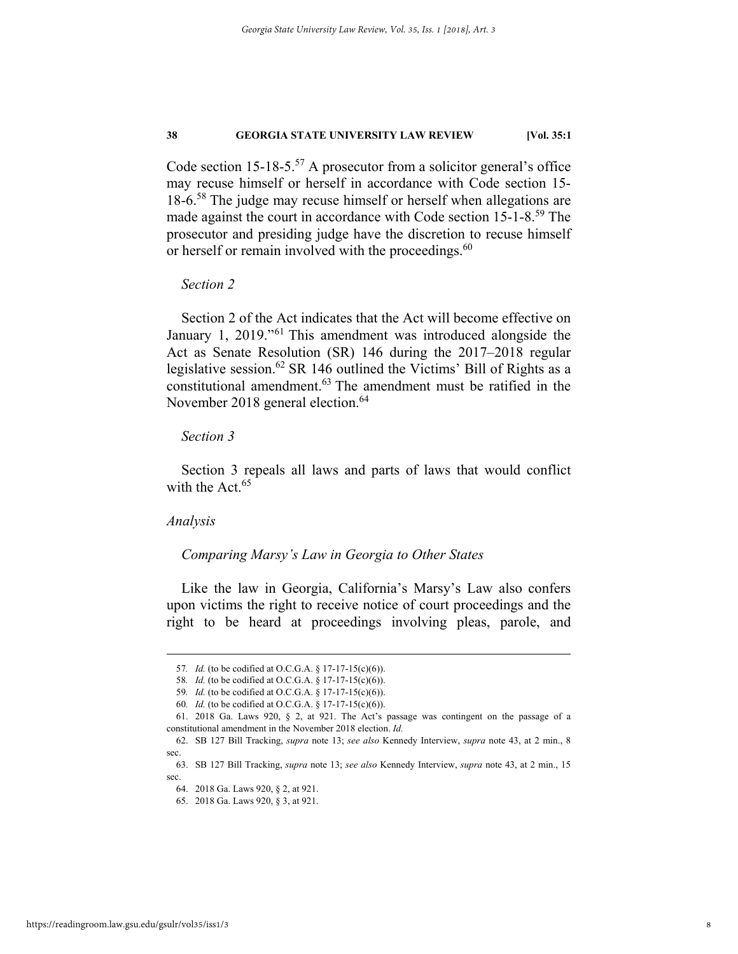Code section  $15{\text -}18{\text -}5^{57}$  A prosecutor from a solicitor general's office may recuse himself or herself in accordance with Code section 15- 18-6.<sup>58</sup> The judge may recuse himself or herself when allegations are made against the court in accordance with Code section 15-1-8.<sup>59</sup> The prosecutor and presiding judge have the discretion to recuse himself or herself or remain involved with the proceedings.<sup>60</sup>

# *Section 2*

Section 2 of the Act indicates that the Act will become effective on January 1, 2019."61 This amendment was introduced alongside the Act as Senate Resolution (SR) 146 during the 2017–2018 regular legislative session.<sup>62</sup> SR 146 outlined the Victims' Bill of Rights as a constitutional amendment.63 The amendment must be ratified in the November 2018 general election.<sup>64</sup>

## *Section 3*

Section 3 repeals all laws and parts of laws that would conflict with the Act.  $65$ 

#### *Analysis*

#### *Comparing Marsy's Law in Georgia to Other States*

Like the law in Georgia, California's Marsy's Law also confers upon victims the right to receive notice of court proceedings and the right to be heard at proceedings involving pleas, parole, and

 <sup>57</sup>*. Id.* (to be codified at O.C.G.A. § 17-17-15(c)(6)).

<sup>58.</sup> *Id.* (to be codified at O.C.G.A. § 17-17-15(c)(6)).

<sup>59.</sup> *Id.* (to be codified at O.C.G.A. § 17-17-15(c)(6)).

<sup>60</sup>*. Id.* (to be codified at O.C.G.A. § 17-17-15(c)(6)).

 <sup>61. 2018</sup> Ga. Laws 920, § 2, at 921. The Act's passage was contingent on the passage of a constitutional amendment in the November 2018 election. *Id.*

 <sup>62.</sup> SB 127 Bill Tracking, *supra* note 13; *see also* Kennedy Interview, *supra* note 43, at 2 min., 8 sec.

 <sup>63.</sup> SB 127 Bill Tracking, *supra* note 13; *see also* Kennedy Interview, *supra* note 43, at 2 min., 15 sec.

 <sup>64. 2018</sup> Ga. Laws 920, § 2, at 921.

 <sup>65. 2018</sup> Ga. Laws 920, § 3, at 921.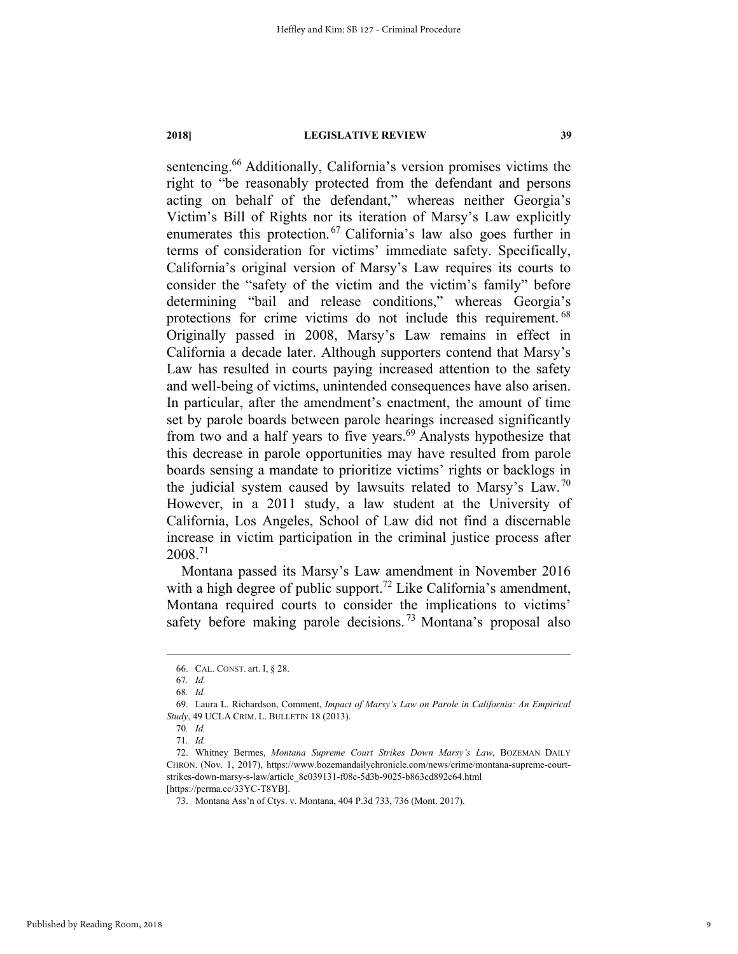sentencing.<sup>66</sup> Additionally, California's version promises victims the right to "be reasonably protected from the defendant and persons acting on behalf of the defendant," whereas neither Georgia's Victim's Bill of Rights nor its iteration of Marsy's Law explicitly enumerates this protection.<sup>67</sup> California's law also goes further in terms of consideration for victims' immediate safety. Specifically, California's original version of Marsy's Law requires its courts to consider the "safety of the victim and the victim's family" before determining "bail and release conditions," whereas Georgia's protections for crime victims do not include this requirement. <sup>68</sup> Originally passed in 2008, Marsy's Law remains in effect in California a decade later. Although supporters contend that Marsy's Law has resulted in courts paying increased attention to the safety and well-being of victims, unintended consequences have also arisen. In particular, after the amendment's enactment, the amount of time set by parole boards between parole hearings increased significantly from two and a half years to five years.<sup>69</sup> Analysts hypothesize that this decrease in parole opportunities may have resulted from parole boards sensing a mandate to prioritize victims' rights or backlogs in the judicial system caused by lawsuits related to Marsy's Law.<sup>70</sup> However, in a 2011 study, a law student at the University of California, Los Angeles, School of Law did not find a discernable increase in victim participation in the criminal justice process after 2008.71

Montana passed its Marsy's Law amendment in November 2016 with a high degree of public support.<sup>72</sup> Like California's amendment, Montana required courts to consider the implications to victims' safety before making parole decisions.<sup>73</sup> Montana's proposal also

 <sup>66.</sup> CAL. CONST. art. I, § 28.

<sup>67</sup>*. Id.* 

<sup>68</sup>*. Id.* 

 <sup>69.</sup> Laura L. Richardson, Comment, *Impact of Marsy's Law on Parole in California: An Empirical Study*, 49 UCLA CRIM. L. BULLETIN 18 (2013).

<sup>70</sup>*. Id.* 

<sup>71</sup>*. Id.*

 <sup>72.</sup> Whitney Bermes, *Montana Supreme Court Strikes Down Marsy's Law*, BOZEMAN DAILY CHRON. (Nov. 1, 2017), https://www.bozemandailychronicle.com/news/crime/montana-supreme-courtstrikes-down-marsy-s-law/article\_8e039131-f08c-5d3b-9025-b863cd892c64.html [https://perma.cc/33YC-T8YB].

 <sup>73.</sup> Montana Ass'n of Ctys. v. Montana, 404 P.3d 733, 736 (Mont. 2017).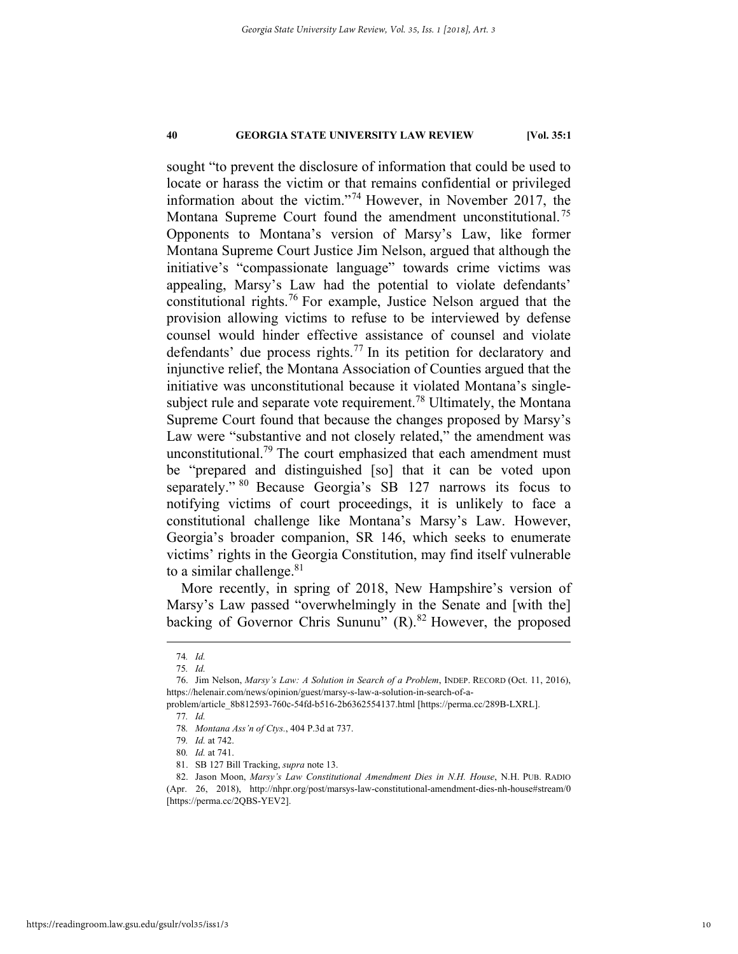sought "to prevent the disclosure of information that could be used to locate or harass the victim or that remains confidential or privileged information about the victim."74 However, in November 2017, the Montana Supreme Court found the amendment unconstitutional.<sup>75</sup> Opponents to Montana's version of Marsy's Law, like former Montana Supreme Court Justice Jim Nelson, argued that although the initiative's "compassionate language" towards crime victims was appealing, Marsy's Law had the potential to violate defendants' constitutional rights.<sup>76</sup> For example, Justice Nelson argued that the provision allowing victims to refuse to be interviewed by defense counsel would hinder effective assistance of counsel and violate defendants' due process rights.<sup>77</sup> In its petition for declaratory and injunctive relief, the Montana Association of Counties argued that the initiative was unconstitutional because it violated Montana's singlesubject rule and separate vote requirement.<sup>78</sup> Ultimately, the Montana Supreme Court found that because the changes proposed by Marsy's Law were "substantive and not closely related," the amendment was unconstitutional.<sup>79</sup> The court emphasized that each amendment must be "prepared and distinguished [so] that it can be voted upon separately." <sup>80</sup> Because Georgia's SB 127 narrows its focus to notifying victims of court proceedings, it is unlikely to face a constitutional challenge like Montana's Marsy's Law. However, Georgia's broader companion, SR 146, which seeks to enumerate victims' rights in the Georgia Constitution, may find itself vulnerable to a similar challenge. $81$ 

More recently, in spring of 2018, New Hampshire's version of Marsy's Law passed "overwhelmingly in the Senate and [with the] backing of Governor Chris Sununu"  $(R)$ .<sup>82</sup> However, the proposed

 <sup>74</sup>*. Id.*

<sup>75</sup>*. Id.*

 <sup>76.</sup> Jim Nelson, *Marsy's Law: A Solution in Search of a Problem*, INDEP. RECORD (Oct. 11, 2016), https://helenair.com/news/opinion/guest/marsy-s-law-a-solution-in-search-of-a-

problem/article\_8b812593-760c-54fd-b516-2b6362554137.html [https://perma.cc/289B-LXRL].

<sup>77</sup>*. Id.*

<sup>78</sup>*. Montana Ass'n of Ctys.*, 404 P.3d at 737.

<sup>79</sup>*. Id.* at 742.

<sup>80</sup>*. Id.* at 741.

 <sup>81.</sup> SB 127 Bill Tracking, *supra* note 13.

 <sup>82.</sup> Jason Moon, *Marsy's Law Constitutional Amendment Dies in N.H. House*, N.H. PUB. RADIO (Apr. 26, 2018), http://nhpr.org/post/marsys-law-constitutional-amendment-dies-nh-house#stream/0 [https://perma.cc/2QBS-YEV2].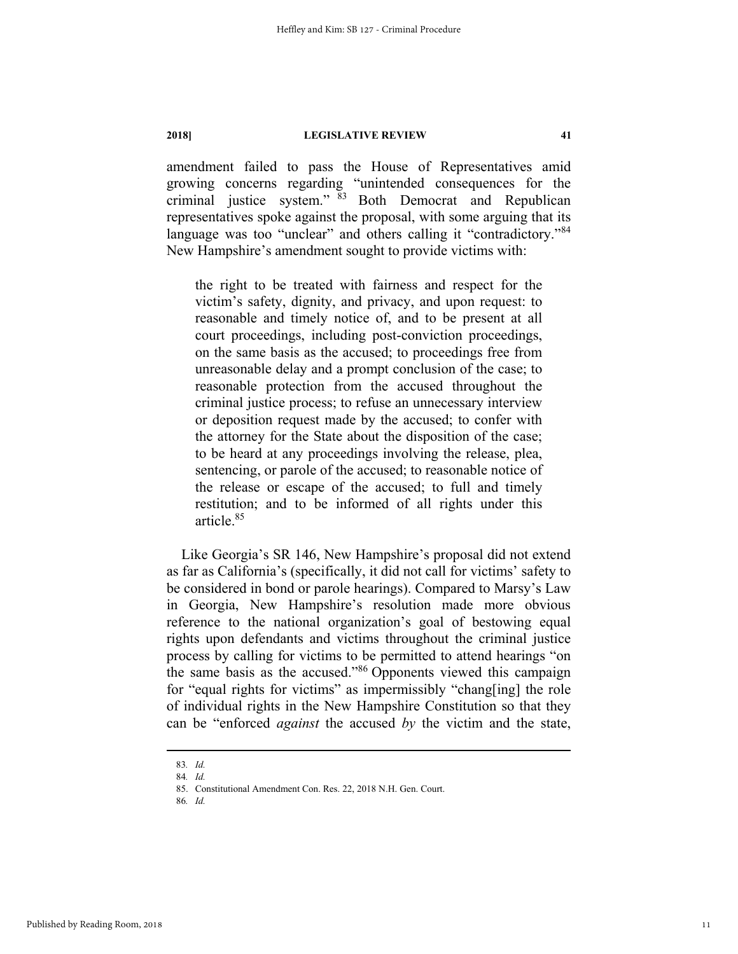amendment failed to pass the House of Representatives amid growing concerns regarding "unintended consequences for the criminal justice system." 83 Both Democrat and Republican representatives spoke against the proposal, with some arguing that its language was too "unclear" and others calling it "contradictory."<sup>84</sup> New Hampshire's amendment sought to provide victims with:

the right to be treated with fairness and respect for the victim's safety, dignity, and privacy, and upon request: to reasonable and timely notice of, and to be present at all court proceedings, including post-conviction proceedings, on the same basis as the accused; to proceedings free from unreasonable delay and a prompt conclusion of the case; to reasonable protection from the accused throughout the criminal justice process; to refuse an unnecessary interview or deposition request made by the accused; to confer with the attorney for the State about the disposition of the case; to be heard at any proceedings involving the release, plea, sentencing, or parole of the accused; to reasonable notice of the release or escape of the accused; to full and timely restitution; and to be informed of all rights under this article.85

Like Georgia's SR 146, New Hampshire's proposal did not extend as far as California's (specifically, it did not call for victims' safety to be considered in bond or parole hearings). Compared to Marsy's Law in Georgia, New Hampshire's resolution made more obvious reference to the national organization's goal of bestowing equal rights upon defendants and victims throughout the criminal justice process by calling for victims to be permitted to attend hearings "on the same basis as the accused."86 Opponents viewed this campaign for "equal rights for victims" as impermissibly "chang[ing] the role of individual rights in the New Hampshire Constitution so that they can be "enforced *against* the accused *by* the victim and the state,

 <sup>83</sup>*. Id.*

<sup>84</sup>*. Id.*

 <sup>85.</sup> Constitutional Amendment Con. Res. 22, 2018 N.H. Gen. Court.

<sup>86</sup>*. Id.*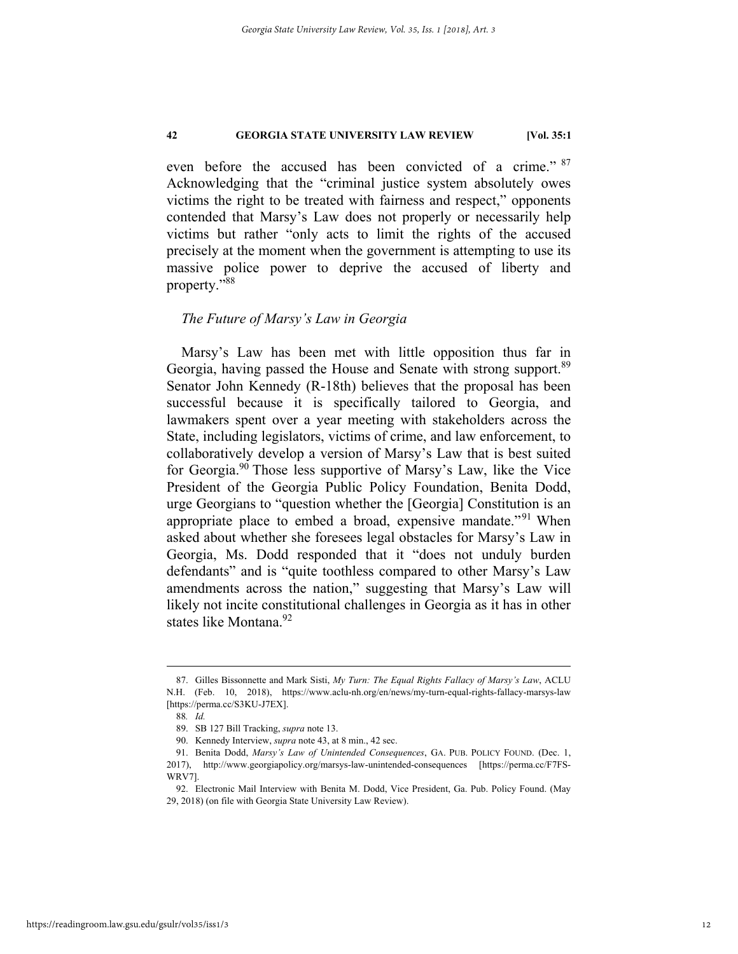even before the accused has been convicted of a crime." <sup>87</sup> Acknowledging that the "criminal justice system absolutely owes victims the right to be treated with fairness and respect," opponents contended that Marsy's Law does not properly or necessarily help victims but rather "only acts to limit the rights of the accused precisely at the moment when the government is attempting to use its massive police power to deprive the accused of liberty and property."88

#### *The Future of Marsy's Law in Georgia*

Marsy's Law has been met with little opposition thus far in Georgia, having passed the House and Senate with strong support.<sup>89</sup> Senator John Kennedy (R-18th) believes that the proposal has been successful because it is specifically tailored to Georgia, and lawmakers spent over a year meeting with stakeholders across the State, including legislators, victims of crime, and law enforcement, to collaboratively develop a version of Marsy's Law that is best suited for Georgia.<sup>90</sup> Those less supportive of Marsy's Law, like the Vice President of the Georgia Public Policy Foundation, Benita Dodd, urge Georgians to "question whether the [Georgia] Constitution is an appropriate place to embed a broad, expensive mandate."<sup>91</sup> When asked about whether she foresees legal obstacles for Marsy's Law in Georgia, Ms. Dodd responded that it "does not unduly burden defendants" and is "quite toothless compared to other Marsy's Law amendments across the nation," suggesting that Marsy's Law will likely not incite constitutional challenges in Georgia as it has in other states like Montana.<sup>92</sup>

 <sup>87.</sup> Gilles Bissonnette and Mark Sisti, *My Turn: The Equal Rights Fallacy of Marsy's Law*, ACLU N.H. (Feb. 10, 2018), https://www.aclu-nh.org/en/news/my-turn-equal-rights-fallacy-marsys-law [https://perma.cc/S3KU-J7EX].

<sup>88</sup>*. Id.*

 <sup>89.</sup> SB 127 Bill Tracking, *supra* note 13.

 <sup>90.</sup> Kennedy Interview, *supra* note 43, at 8 min., 42 sec.

 <sup>91.</sup> Benita Dodd, *Marsy's Law of Unintended Consequences*, GA. PUB. POLICY FOUND. (Dec. 1, 2017), http://www.georgiapolicy.org/marsys-law-unintended-consequences [https://perma.cc/F7FS-WRV7].

 <sup>92.</sup> Electronic Mail Interview with Benita M. Dodd, Vice President, Ga. Pub. Policy Found. (May 29, 2018) (on file with Georgia State University Law Review).